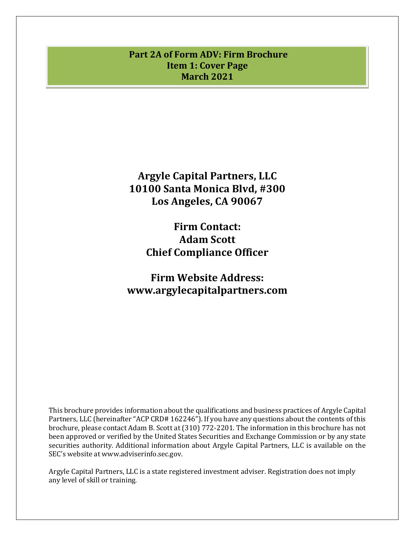# <span id="page-0-0"></span>**Part 2A of Form ADV: Firm Brochure Item 1: Cover Page March 2021**

**Argyle Capital Partners, LLC 10100 Santa Monica Blvd, #300 Los Angeles, CA 90067**

> **Firm Contact: Adam Scott Chief Compliance Officer**

**Firm Website Address: www.argylecapitalpartners.com**

This brochure provides information about the qualifications and business practices of Argyle Capital Partners, LLC (hereinafter "ACP CRD# 162246"). If you have any questions about the contents of this brochure, please contact Adam B. Scott at (310) 772-2201. The information in this brochure has not been approved or verified by the United States Securities and Exchange Commission or by any state securities authority. Additional information about Argyle Capital Partners, LLC is available on the SEC's website at www.adviserinfo.sec.gov.

Argyle Capital Partners, LLC is a state registered investment adviser. Registration does not imply any level of skill or training.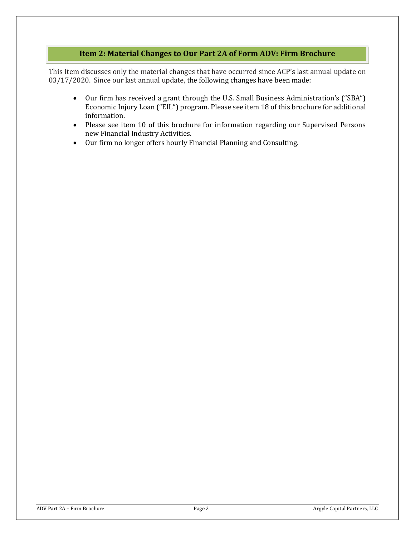## **Item 2: Material Changes to Our Part 2A of Form ADV: Firm Brochure**

<span id="page-1-0"></span>This Item discusses only the material changes that have occurred since ACP's last annual update on 03/17/2020. Since our last annual update, the following changes have been made:

- Our firm has received a grant through the U.S. Small Business Administration's ("SBA") Economic Injury Loan ("EIL") program. Please see item 18 of this brochure for additional information.
- Please see item 10 of this brochure for information regarding our Supervised Persons new Financial Industry Activities.
- Our firm no longer offers hourly Financial Planning and Consulting.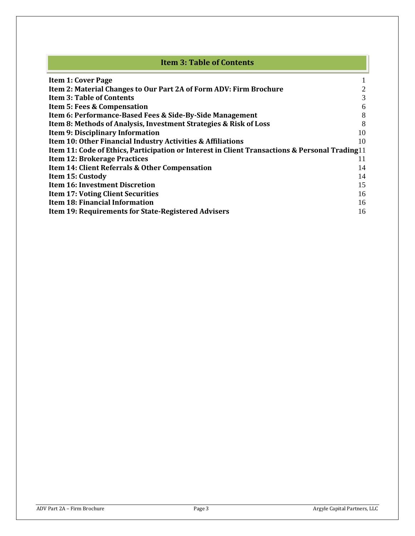<span id="page-2-0"></span>

| <b>Item 3: Table of Contents</b>                                                                           |    |
|------------------------------------------------------------------------------------------------------------|----|
| <b>Item 1: Cover Page</b>                                                                                  |    |
| Item 2: Material Changes to Our Part 2A of Form ADV: Firm Brochure                                         | 2  |
| <b>Item 3: Table of Contents</b>                                                                           | 3  |
| <b>Item 5: Fees &amp; Compensation</b>                                                                     | 6  |
| Item 6: Performance-Based Fees & Side-By-Side Management                                                   | 8  |
| Item 8: Methods of Analysis, Investment Strategies & Risk of Loss                                          | 8  |
| <b>Item 9: Disciplinary Information</b>                                                                    | 10 |
| Item 10: Other Financial Industry Activities & Affiliations                                                | 10 |
| <b>Item 11: Code of Ethics, Participation or Interest in Client Transactions &amp; Personal Trading 11</b> |    |
| <b>Item 12: Brokerage Practices</b>                                                                        | 11 |
| Item 14: Client Referrals & Other Compensation                                                             | 14 |
| Item 15: Custody                                                                                           | 14 |
| <b>Item 16: Investment Discretion</b>                                                                      | 15 |
| <b>Item 17: Voting Client Securities</b>                                                                   | 16 |
| <b>Item 18: Financial Information</b>                                                                      | 16 |
| <b>Item 19: Requirements for State-Registered Advisers</b>                                                 | 16 |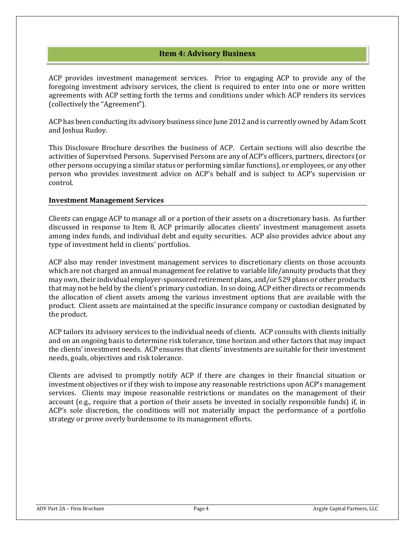## **Item 4: Advisory Business**

ACP provides investment management services. Prior to engaging ACP to provide any of the foregoing investment advisory services, the client is required to enter into one or more written agreements with ACP setting forth the terms and conditions under which ACP renders its services (collectively the "Agreement").

ACP has been conducting its advisory business since June 2012 and is currently owned by Adam Scott and Joshua Rudoy.

This Disclosure Brochure describes the business of ACP. Certain sections will also describe the activities of Supervised Persons. Supervised Persons are any of ACP's officers, partners, directors (or other persons occupying a similar status or performing similar functions), or employees, or any other person who provides investment advice on ACP's behalf and is subject to ACP's supervision or control.

### **Investment Management Services**

Clients can engage ACP to manage all or a portion of their assets on a discretionary basis. As further discussed in response to Item 8, ACP primarily allocates clients' investment management assets among index funds, and individual debt and equity securities. ACP also provides advice about any type of investment held in clients' portfolios.

ACP also may render investment management services to discretionary clients on those accounts which are not charged an annual management fee relative to variable life/annuity products that they may own, their individual employer-sponsored retirement plans, and/or 529 plans or other products that may not be held by the client's primary custodian. In so doing, ACP either directs or recommends the allocation of client assets among the various investment options that are available with the product. Client assets are maintained at the specific insurance company or custodian designated by the product.

ACP tailors its advisory services to the individual needs of clients. ACP consults with clients initially and on an ongoing basis to determine risk tolerance, time horizon and other factors that may impact the clients' investment needs. ACP ensures that clients' investments are suitable for their investment needs, goals, objectives and risk tolerance.

Clients are advised to promptly notify ACP if there are changes in their financial situation or investment objectives or if they wish to impose any reasonable restrictions upon ACP's management services. Clients may impose reasonable restrictions or mandates on the management of their account (e.g., require that a portion of their assets be invested in socially responsible funds) if, in ACP's sole discretion, the conditions will not materially impact the performance of a portfolio strategy or prove overly burdensome to its management efforts.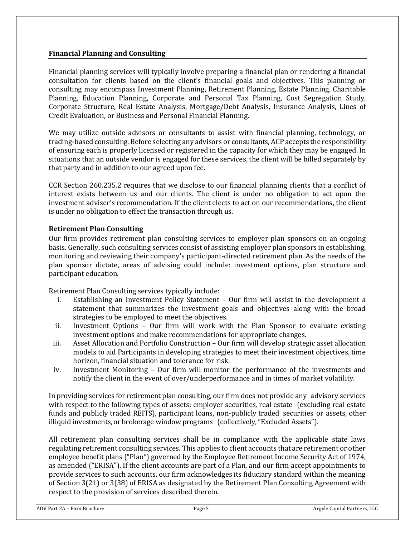## **Financial Planning and Consulting**

Financial planning services will typically involve preparing a financial plan or rendering a financial consultation for clients based on the client's financial goals and objectives. This planning or consulting may encompass Investment Planning, Retirement Planning, Estate Planning, Charitable Planning, Education Planning, Corporate and Personal Tax Planning, Cost Segregation Study, Corporate Structure, Real Estate Analysis, Mortgage/Debt Analysis, Insurance Analysis, Lines of Credit Evaluation, or Business and Personal Financial Planning.

We may utilize outside advisors or consultants to assist with financial planning, technology, or trading-based consulting. Before selecting any advisors or consultants, ACP accepts the responsibility of ensuring each is properly licensed or registered in the capacity for which they may be engaged. In situations that an outside vendor is engaged for these services, the client will be billed separately by that party and in addition to our agreed upon fee.

CCR Section 260.235.2 requires that we disclose to our financial planning clients that a conflict of interest exists between us and our clients. The client is under no obligation to act upon the investment adviser's recommendation. If the client elects to act on our recommendations, the client is under no obligation to effect the transaction through us.

### **Retirement Plan Consulting**

Our firm provides retirement plan consulting services to employer plan sponsors on an ongoing basis. Generally, such consulting services consist of assisting employer plan sponsors in establishing, monitoring and reviewing their company's participant-directed retirement plan. As the needs of the plan sponsor dictate, areas of advising could include: investment options, plan structure and participant education.

Retirement Plan Consulting services typically include:

- i. Establishing an Investment Policy Statement Our firm will assist in the development a statement that summarizes the investment goals and objectives along with the broad strategies to be employed to meet the objectives.
- ii. Investment Options Our firm will work with the Plan Sponsor to evaluate existing investment options and make recommendations for appropriate changes.
- iii. Asset Allocation and Portfolio Construction Our firm will develop strategic asset allocation models to aid Participants in developing strategies to meet their investment objectives, time horizon, financial situation and tolerance for risk.
- iv. Investment Monitoring Our firm will monitor the performance of the investments and notify the client in the event of over/underperformance and in times of market volatility.

In providing services for retirement plan consulting, our firm does not provide any advisory services with respect to the following types of assets: employer securities, real estate (excluding real estate funds and publicly traded REITS), participant loans, non-publicly traded securities or assets, other illiquid investments, or brokerage window programs (collectively, "Excluded Assets").

All retirement plan consulting services shall be in compliance with the applicable state laws regulating retirement consulting services. This applies to client accounts that are retirement or other employee benefit plans ("Plan") governed by the Employee Retirement Income Security Act of 1974, as amended ("ERISA"). If the client accounts are part of a Plan, and our firm accept appointments to provide services to such accounts, our firm acknowledges its fiduciary standard within the meaning of Section 3(21) or 3(38) of ERISA as designated by the Retirement Plan Consulting Agreement with respect to the provision of services described therein.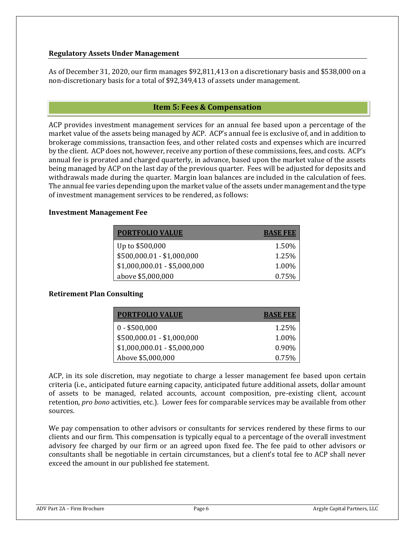## **Regulatory Assets Under Management**

As of December 31, 2020, our firm manages \$92,811,413 on a discretionary basis and \$538,000 on a non-discretionary basis for a total of \$92,349,413 of assets under management.

## **Item 5: Fees & Compensation**

<span id="page-5-0"></span>ACP provides investment management services for an annual fee based upon a percentage of the market value of the assets being managed by ACP. ACP's annual fee is exclusive of, and in addition to brokerage commissions, transaction fees, and other related costs and expenses which are incurred by the client. ACP does not, however, receive any portion of these commissions, fees, and costs. ACP's annual fee is prorated and charged quarterly, in advance, based upon the market value of the assets being managed by ACP on the last day of the previous quarter. Fees will be adjusted for deposits and withdrawals made during the quarter. Margin loan balances are included in the calculation of fees. The annual fee varies depending upon the market value of the assets under management and the type of investment management services to be rendered, as follows:

### **Investment Management Fee**

| <b>PORTFOLIO VALUE</b>       | <b>BASE FEE</b> |
|------------------------------|-----------------|
| Up to \$500,000              | 1.50%           |
| $$500,000.01 - $1,000,000$   | 1.25%           |
| $$1,000,000.01 - $5,000,000$ | 1.00%           |
| above \$5,000,000            | 0.75%           |

## **Retirement Plan Consulting**

| <b>PORTFOLIO VALUE</b>       | <b>BASE FEE</b> |
|------------------------------|-----------------|
| $0 - $500,000$               | 1.25%           |
| $$500,000.01 - $1,000,000$   | 1.00%           |
| $$1,000,000.01 - $5,000,000$ | $0.90\%$        |
| Above \$5,000,000            | 0.75%           |

ACP, in its sole discretion, may negotiate to charge a lesser management fee based upon certain criteria (i.e., anticipated future earning capacity, anticipated future additional assets, dollar amount of assets to be managed, related accounts, account composition, pre-existing client, account retention, *pro bono* activities, etc.). Lower fees for comparable services may be available from other sources.

We pay compensation to other advisors or consultants for services rendered by these firms to our clients and our firm. This compensation is typically equal to a percentage of the overall investment advisory fee charged by our firm or an agreed upon fixed fee. The fee paid to other advisors or consultants shall be negotiable in certain circumstances, but a client's total fee to ACP shall never exceed the amount in our published fee statement.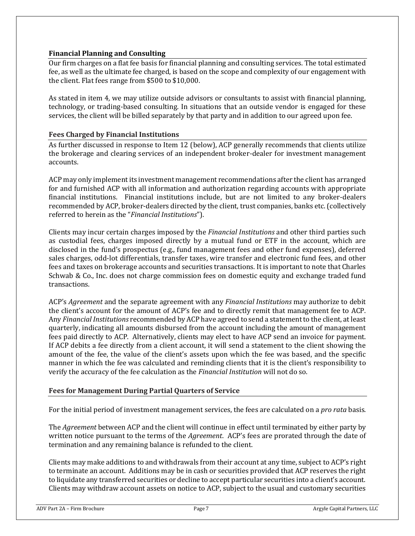## **Financial Planning and Consulting**

Our firm charges on a flat fee basis for financial planning and consulting services. The total estimated fee, as well as the ultimate fee charged, is based on the scope and complexity of our engagement with the client. Flat fees range from \$500 to \$10,000.

As stated in item 4, we may utilize outside advisors or consultants to assist with financial planning, technology, or trading-based consulting. In situations that an outside vendor is engaged for these services, the client will be billed separately by that party and in addition to our agreed upon fee.

### **Fees Charged by Financial Institutions**

As further discussed in response to Item 12 (below), ACP generally recommends that clients utilize the brokerage and clearing services of an independent broker-dealer for investment management accounts.

ACP may only implement its investment management recommendations after the client has arranged for and furnished ACP with all information and authorization regarding accounts with appropriate financial institutions. Financial institutions include, but are not limited to any broker-dealers recommended by ACP, broker-dealers directed by the client, trust companies, banks etc. (collectively referred to herein as the "*Financial Institutions*").

Clients may incur certain charges imposed by the *Financial Institutions* and other third parties such as custodial fees, charges imposed directly by a mutual fund or ETF in the account, which are disclosed in the fund's prospectus (e.g., fund management fees and other fund expenses), deferred sales charges, odd-lot differentials, transfer taxes, wire transfer and electronic fund fees, and other fees and taxes on brokerage accounts and securities transactions. It is important to note that Charles Schwab & Co., Inc. does not charge commission fees on domestic equity and exchange traded fund transactions.

ACP's *Agreement* and the separate agreement with any *Financial Institutions* may authorize to debit the client's account for the amount of ACP's fee and to directly remit that management fee to ACP. Any *Financial Institutions* recommended by ACP have agreed to send a statement to the client, at least quarterly, indicating all amounts disbursed from the account including the amount of management fees paid directly to ACP. Alternatively, clients may elect to have ACP send an invoice for payment. If ACP debits a fee directly from a client account, it will send a statement to the client showing the amount of the fee, the value of the client's assets upon which the fee was based, and the specific manner in which the fee was calculated and reminding clients that it is the client's responsibility to verify the accuracy of the fee calculation as the *Financial Institution* will not do so.

### **Fees for Management During Partial Quarters of Service**

For the initial period of investment management services, the fees are calculated on a *pro rata* basis.

The *Agreement* between ACP and the client will continue in effect until terminated by either party by written notice pursuant to the terms of the *Agreement*. ACP's fees are prorated through the date of termination and any remaining balance is refunded to the client.

Clients may make additions to and withdrawals from their account at any time, subject to ACP's right to terminate an account. Additions may be in cash or securities provided that ACP reserves the right to liquidate any transferred securities or decline to accept particular securities into a client's account. Clients may withdraw account assets on notice to ACP, subject to the usual and customary securities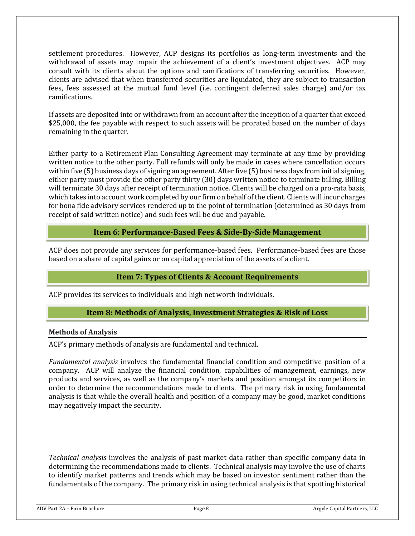settlement procedures. However, ACP designs its portfolios as long-term investments and the withdrawal of assets may impair the achievement of a client's investment objectives. ACP may consult with its clients about the options and ramifications of transferring securities. However, clients are advised that when transferred securities are liquidated, they are subject to transaction fees, fees assessed at the mutual fund level (i.e. contingent deferred sales charge) and/or tax ramifications.

If assets are deposited into or withdrawn from an account after the inception of a quarter that exceed \$25,000, the fee payable with respect to such assets will be prorated based on the number of days remaining in the quarter.

Either party to a Retirement Plan Consulting Agreement may terminate at any time by providing written notice to the other party. Full refunds will only be made in cases where cancellation occurs within five (5) business days of signing an agreement. After five (5) business days from initial signing, either party must provide the other party thirty (30) days written notice to terminate billing. Billing will terminate 30 days after receipt of termination notice. Clients will be charged on a pro-rata basis, which takes into account work completed by our firm on behalf of the client. Clients will incur charges for bona fide advisory services rendered up to the point of termination (determined as 30 days from receipt of said written notice) and such fees will be due and payable.

## **Item 6: Performance-Based Fees & Side-By-Side Management**

<span id="page-7-0"></span>ACP does not provide any services for performance-based fees. Performance-based fees are those based on a share of capital gains or on capital appreciation of the assets of a client.

# **Item 7: Types of Clients & Account Requirements**

<span id="page-7-1"></span>ACP provides its services to individuals and high net worth individuals.

## **Item 8: Methods of Analysis, Investment Strategies & Risk of Loss**

### **Methods of Analysis**

ACP's primary methods of analysis are fundamental and technical.

*Fundamental analysis* involves the fundamental financial condition and competitive position of a company. ACP will analyze the financial condition, capabilities of management, earnings, new products and services, as well as the company's markets and position amongst its competitors in order to determine the recommendations made to clients. The primary risk in using fundamental analysis is that while the overall health and position of a company may be good, market conditions may negatively impact the security.

*Technical analysis* involves the analysis of past market data rather than specific company data in determining the recommendations made to clients. Technical analysis may involve the use of charts to identify market patterns and trends which may be based on investor sentiment rather than the fundamentals of the company. The primary risk in using technical analysis is that spotting historical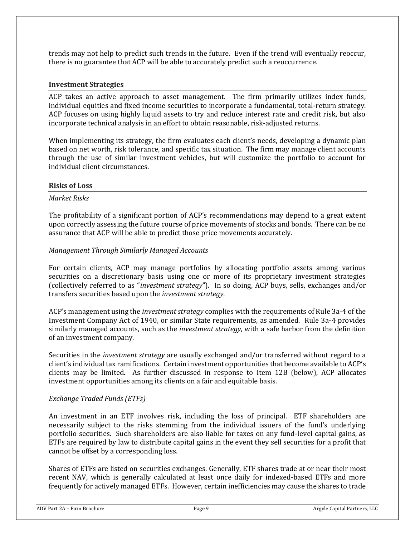trends may not help to predict such trends in the future. Even if the trend will eventually reoccur, there is no guarantee that ACP will be able to accurately predict such a reoccurrence.

#### **Investment Strategies**

ACP takes an active approach to asset management. The firm primarily utilizes index funds, individual equities and fixed income securities to incorporate a fundamental, total-return strategy. ACP focuses on using highly liquid assets to try and reduce interest rate and credit risk, but also incorporate technical analysis in an effort to obtain reasonable, risk-adjusted returns.

When implementing its strategy, the firm evaluates each client's needs, developing a dynamic plan based on net worth, risk tolerance, and specific tax situation. The firm may manage client accounts through the use of similar investment vehicles, but will customize the portfolio to account for individual client circumstances.

### **Risks of Loss**

#### *Market Risks*

The profitability of a significant portion of ACP's recommendations may depend to a great extent upon correctly assessing the future course of price movements of stocks and bonds. There can be no assurance that ACP will be able to predict those price movements accurately.

### *Management Through Similarly Managed Accounts*

For certain clients, ACP may manage portfolios by allocating portfolio assets among various securities on a discretionary basis using one or more of its proprietary investment strategies (collectively referred to as "*investment strategy*"). In so doing, ACP buys, sells, exchanges and/or transfers securities based upon the *investment strategy*.

ACP's management using the *investment strategy* complies with the requirements of Rule 3a-4 of the Investment Company Act of 1940, or similar State requirements, as amended. Rule 3a-4 provides similarly managed accounts, such as the *investment strategy*, with a safe harbor from the definition of an investment company.

Securities in the *investment strategy* are usually exchanged and/or transferred without regard to a client's individual tax ramifications. Certain investment opportunities that become available to ACP's clients may be limited. As further discussed in response to Item 12B (below), ACP allocates investment opportunities among its clients on a fair and equitable basis.

### *Exchange Traded Funds (ETFs)*

An investment in an ETF involves risk, including the loss of principal. ETF shareholders are necessarily subject to the risks stemming from the individual issuers of the fund's underlying portfolio securities. Such shareholders are also liable for taxes on any fund-level capital gains, as ETFs are required by law to distribute capital gains in the event they sell securities for a profit that cannot be offset by a corresponding loss.

Shares of ETFs are listed on securities exchanges. Generally, ETF shares trade at or near their most recent NAV, which is generally calculated at least once daily for indexed-based ETFs and more frequently for actively managed ETFs. However, certain inefficiencies may cause the shares to trade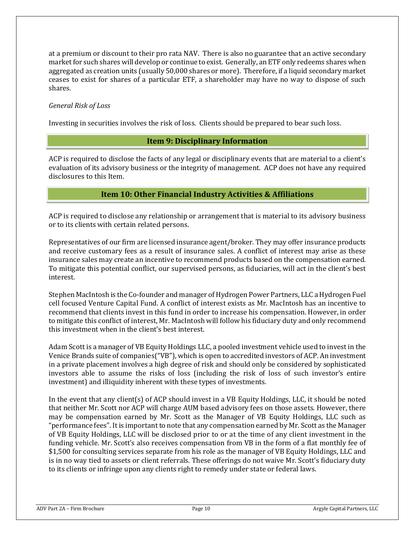at a premium or discount to their pro rata NAV. There is also no guarantee that an active secondary market for such shares will develop or continue to exist. Generally, an ETF only redeems shares when aggregated as creation units (usually 50,000 shares or more). Therefore, if a liquid secondary market ceases to exist for shares of a particular ETF, a shareholder may have no way to dispose of such shares.

### *General Risk of Loss*

<span id="page-9-0"></span>Investing in securities involves the risk of loss. Clients should be prepared to bear such loss.

## **Item 9: Disciplinary Information**

ACP is required to disclose the facts of any legal or disciplinary events that are material to a client's evaluation of its advisory business or the integrity of management. ACP does not have any required disclosures to this Item.

# **Item 10: Other Financial Industry Activities & Affiliations**

<span id="page-9-1"></span>ACP is required to disclose any relationship or arrangement that is material to its advisory business or to its clients with certain related persons.

Representatives of our firm are licensed insurance agent/broker. They may offer insurance products and receive customary fees as a result of insurance sales. A conflict of interest may arise as these insurance sales may create an incentive to recommend products based on the compensation earned. To mitigate this potential conflict, our supervised persons, as fiduciaries, will act in the client's best interest.

Stephen MacIntosh is the Co-founder and manager of Hydrogen Power Partners, LLC a Hydrogen Fuel cell focused Venture Capital Fund. A conflict of interest exists as Mr. MacIntosh has an incentive to recommend that clients invest in this fund in order to increase his compensation. However, in order to mitigate this conflict of interest, Mr. MacIntosh will follow his fiduciary duty and only recommend this investment when in the client's best interest.

Adam Scott is a manager of VB Equity Holdings LLC, a pooled investment vehicle used to invest in the Venice Brands suite of companies("VB"), which is open to accredited investors of ACP. An investment in a private placement involves a high degree of risk and should only be considered by sophisticated investors able to assume the risks of loss (including the risk of loss of such investor's entire investment) and illiquidity inherent with these types of investments.

In the event that any client(s) of ACP should invest in a VB Equity Holdings, LLC, it should be noted that neither Mr. Scott nor ACP will charge AUM based advisory fees on those assets. However, there may be compensation earned by Mr. Scott as the Manager of VB Equity Holdings, LLC such as "performance fees". It is important to note that any compensation earned by Mr. Scott as the Manager of VB Equity Holdings, LLC will be disclosed prior to or at the time of any client investment in the funding vehicle. Mr. Scott's also receives compensation from VB in the form of a flat monthly fee of \$1,500 for consulting services separate from his role as the manager of VB Equity Holdings, LLC and is in no way tied to assets or client referrals. These offerings do not waive Mr. Scott's fiduciary duty to its clients or infringe upon any clients right to remedy under state or federal laws.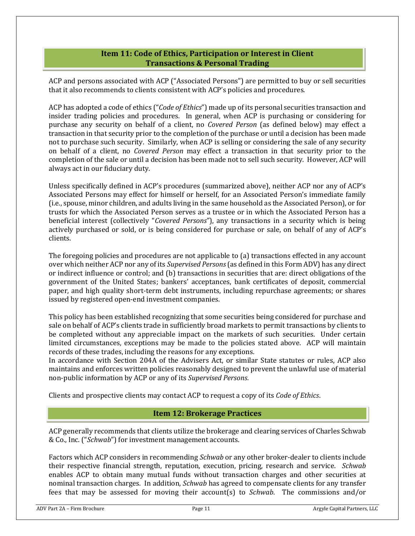## **Item 11: Code of Ethics, Participation or Interest in Client Transactions & Personal Trading**

<span id="page-10-0"></span>ACP and persons associated with ACP ("Associated Persons") are permitted to buy or sell securities that it also recommends to clients consistent with ACP's policies and procedures.

ACP has adopted a code of ethics ("*Code of Ethics*") made up of its personal securities transaction and insider trading policies and procedures. In general, when ACP is purchasing or considering for purchase any security on behalf of a client, no *Covered Person* (as defined below) may effect a transaction in that security prior to the completion of the purchase or until a decision has been made not to purchase such security. Similarly, when ACP is selling or considering the sale of any security on behalf of a client, no *Covered Person* may effect a transaction in that security prior to the completion of the sale or until a decision has been made not to sell such security. However, ACP will always act in our fiduciary duty.

Unless specifically defined in ACP's procedures (summarized above), neither ACP nor any of ACP's Associated Persons may effect for himself or herself, for an Associated Person's immediate family (i.e., spouse, minor children, and adults living in the same household as the Associated Person), or for trusts for which the Associated Person serves as a trustee or in which the Associated Person has a beneficial interest (collectively "*Covered Persons*"), any transactions in a security which is being actively purchased or sold, or is being considered for purchase or sale, on behalf of any of ACP's clients.

The foregoing policies and procedures are not applicable to (a) transactions effected in any account over which neither ACP nor any of its *Supervised Persons* (as defined in this Form ADV) has any direct or indirect influence or control; and (b) transactions in securities that are: direct obligations of the government of the United States; bankers' acceptances, bank certificates of deposit, commercial paper, and high quality short-term debt instruments, including repurchase agreements; or shares issued by registered open-end investment companies.

This policy has been established recognizing that some securities being considered for purchase and sale on behalf of ACP's clients trade in sufficiently broad markets to permit transactions by clients to be completed without any appreciable impact on the markets of such securities. Under certain limited circumstances, exceptions may be made to the policies stated above. ACP will maintain records of these trades, including the reasons for any exceptions.

In accordance with Section 204A of the Advisers Act, or similar State statutes or rules, ACP also maintains and enforces written policies reasonably designed to prevent the unlawful use of material non-public information by ACP or any of its *Supervised Persons*.

<span id="page-10-1"></span>Clients and prospective clients may contact ACP to request a copy of its *Code of Ethics*.

## **Item 12: Brokerage Practices**

ACP generally recommends that clients utilize the brokerage and clearing services of Charles Schwab & Co., Inc. ("*Schwab*") for investment management accounts.

Factors which ACP considers in recommending *Schwab* or any other broker-dealer to clients include their respective financial strength, reputation, execution, pricing, research and service. *Schwab* enables ACP to obtain many mutual funds without transaction charges and other securities at nominal transaction charges. In addition, *Schwab* has agreed to compensate clients for any transfer fees that may be assessed for moving their account(s) to *Schwab*. The commissions and/or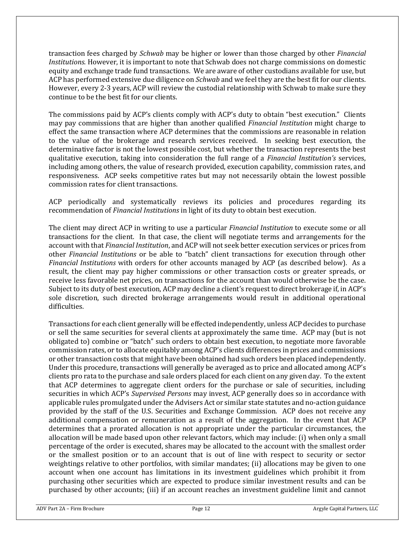transaction fees charged by *Schwab* may be higher or lower than those charged by other *Financial Institutions*. However, it is important to note that Schwab does not charge commissions on domestic equity and exchange trade fund transactions. We are aware of other custodians available for use, but ACP has performed extensive due diligence on *Schwab* and we feel they are the best fit for our clients. However, every 2-3 years, ACP will review the custodial relationship with Schwab to make sure they continue to be the best fit for our clients.

The commissions paid by ACP's clients comply with ACP's duty to obtain "best execution." Clients may pay commissions that are higher than another qualified *Financial Institution* might charge to effect the same transaction where ACP determines that the commissions are reasonable in relation to the value of the brokerage and research services received. In seeking best execution, the determinative factor is not the lowest possible cost, but whether the transaction represents the best qualitative execution, taking into consideration the full range of a *Financial Institution's* services, including among others, the value of research provided, execution capability, commission rates, and responsiveness. ACP seeks competitive rates but may not necessarily obtain the lowest possible commission rates for client transactions.

ACP periodically and systematically reviews its policies and procedures regarding its recommendation of *Financial Institutions* in light of its duty to obtain best execution.

The client may direct ACP in writing to use a particular *Financial Institution* to execute some or all transactions for the client. In that case, the client will negotiate terms and arrangements for the account with that *Financial Institution*, and ACP will not seek better execution services or prices from other *Financial Institutions* or be able to "batch" client transactions for execution through other *Financial Institutions* with orders for other accounts managed by ACP (as described below). As a result, the client may pay higher commissions or other transaction costs or greater spreads, or receive less favorable net prices, on transactions for the account than would otherwise be the case. Subject to its duty of best execution, ACP may decline a client's request to direct brokerage if, in ACP's sole discretion, such directed brokerage arrangements would result in additional operational difficulties.

Transactions for each client generally will be effected independently, unless ACP decides to purchase or sell the same securities for several clients at approximately the same time. ACP may (but is not obligated to) combine or "batch" such orders to obtain best execution, to negotiate more favorable commission rates, or to allocate equitably among ACP's clients differences in prices and commissions or other transaction costs that might have been obtained had such orders been placed independently. Under this procedure, transactions will generally be averaged as to price and allocated among ACP's clients pro rata to the purchase and sale orders placed for each client on any given day. To the extent that ACP determines to aggregate client orders for the purchase or sale of securities, including securities in which ACP's *Supervised Persons* may invest, ACP generally does so in accordance with applicable rules promulgated under the Advisers Act or similar state statutes and no-action guidance provided by the staff of the U.S. Securities and Exchange Commission. ACP does not receive any additional compensation or remuneration as a result of the aggregation. In the event that ACP determines that a prorated allocation is not appropriate under the particular circumstances, the allocation will be made based upon other relevant factors, which may include: (i) when only a small percentage of the order is executed, shares may be allocated to the account with the smallest order or the smallest position or to an account that is out of line with respect to security or sector weightings relative to other portfolios, with similar mandates; (ii) allocations may be given to one account when one account has limitations in its investment guidelines which prohibit it from purchasing other securities which are expected to produce similar investment results and can be purchased by other accounts; (iii) if an account reaches an investment guideline limit and cannot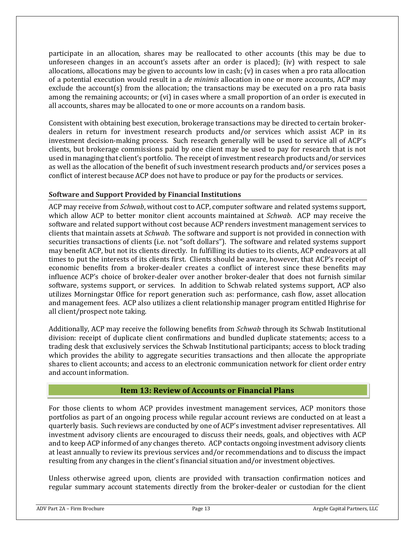participate in an allocation, shares may be reallocated to other accounts (this may be due to unforeseen changes in an account's assets after an order is placed); (iv) with respect to sale allocations, allocations may be given to accounts low in cash; (v) in cases when a pro rata allocation of a potential execution would result in a *de minimis* allocation in one or more accounts, ACP may exclude the account(s) from the allocation; the transactions may be executed on a pro rata basis among the remaining accounts; or (vi) in cases where a small proportion of an order is executed in all accounts, shares may be allocated to one or more accounts on a random basis.

Consistent with obtaining best execution, brokerage transactions may be directed to certain brokerdealers in return for investment research products and/or services which assist ACP in its investment decision-making process. Such research generally will be used to service all of ACP's clients, but brokerage commissions paid by one client may be used to pay for research that is not used in managing that client's portfolio. The receipt of investment research products and/or services as well as the allocation of the benefit of such investment research products and/or services poses a conflict of interest because ACP does not have to produce or pay for the products or services.

## **Software and Support Provided by Financial Institutions**

ACP may receive from *Schwab*, without cost to ACP, computer software and related systems support, which allow ACP to better monitor client accounts maintained at *Schwab*. ACP may receive the software and related support without cost because ACP renders investment management services to clients that maintain assets at *Schwab*. The software and support is not provided in connection with securities transactions of clients (i.e. not "soft dollars"). The software and related systems support may benefit ACP, but not its clients directly. In fulfilling its duties to its clients, ACP endeavors at all times to put the interests of its clients first. Clients should be aware, however, that ACP's receipt of economic benefits from a broker-dealer creates a conflict of interest since these benefits may influence ACP's choice of broker-dealer over another broker-dealer that does not furnish similar software, systems support, or services. In addition to Schwab related systems support, ACP also utilizes Morningstar Office for report generation such as: performance, cash flow, asset allocation and management fees. ACP also utilizes a client relationship manager program entitled Highrise for all client/prospect note taking.

Additionally, ACP may receive the following benefits from *Schwab* through its Schwab Institutional division: receipt of duplicate client confirmations and bundled duplicate statements; access to a trading desk that exclusively services the Schwab Institutional participants; access to block trading which provides the ability to aggregate securities transactions and then allocate the appropriate shares to client accounts; and access to an electronic communication network for client order entry and account information.

## **Item 13: Review of Accounts or Financial Plans**

For those clients to whom ACP provides investment management services, ACP monitors those portfolios as part of an ongoing process while regular account reviews are conducted on at least a quarterly basis. Such reviews are conducted by one of ACP's investment adviser representatives. All investment advisory clients are encouraged to discuss their needs, goals, and objectives with ACP and to keep ACP informed of any changes thereto. ACP contacts ongoing investment advisory clients at least annually to review its previous services and/or recommendations and to discuss the impact resulting from any changes in the client's financial situation and/or investment objectives.

Unless otherwise agreed upon, clients are provided with transaction confirmation notices and regular summary account statements directly from the broker-dealer or custodian for the client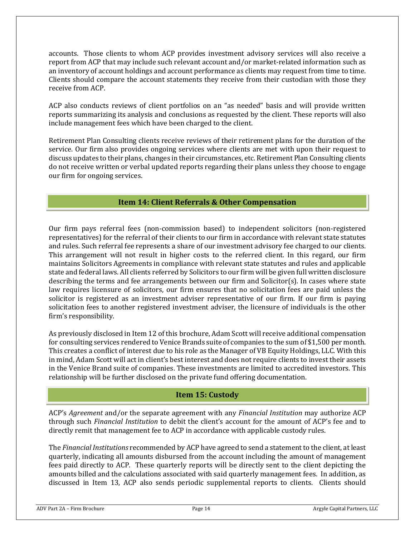accounts. Those clients to whom ACP provides investment advisory services will also receive a report from ACP that may include such relevant account and/or market-related information such as an inventory of account holdings and account performance as clients may request from time to time. Clients should compare the account statements they receive from their custodian with those they receive from ACP.

ACP also conducts reviews of client portfolios on an "as needed" basis and will provide written reports summarizing its analysis and conclusions as requested by the client. These reports will also include management fees which have been charged to the client.

Retirement Plan Consulting clients receive reviews of their retirement plans for the duration of the service. Our firm also provides ongoing services where clients are met with upon their request to discuss updates to their plans, changes in their circumstances, etc. Retirement Plan Consulting clients do not receive written or verbal updated reports regarding their plans unless they choose to engage our firm for ongoing services.

# **Item 14: Client Referrals & Other Compensation**

<span id="page-13-0"></span>Our firm pays referral fees (non-commission based) to independent solicitors (non-registered representatives) for the referral of their clients to our firm in accordance with relevant state statutes and rules. Such referral fee represents a share of our investment advisory fee charged to our clients. This arrangement will not result in higher costs to the referred client. In this regard, our firm maintains Solicitors Agreements in compliance with relevant state statutes and rules and applicable state and federal laws. All clients referred by Solicitors to our firm will be given full written disclosure describing the terms and fee arrangements between our firm and Solicitor(s). In cases where state law requires licensure of solicitors, our firm ensures that no solicitation fees are paid unless the solicitor is registered as an investment adviser representative of our firm. If our firm is paying solicitation fees to another registered investment adviser, the licensure of individuals is the other firm's responsibility.

As previously disclosed in Item 12 of this brochure, Adam Scott will receive additional compensation for consulting services rendered to Venice Brands suite of companies to the sum of \$1,500 per month. This creates a conflict of interest due to his role as the Manager of VB Equity Holdings, LLC. With this in mind, Adam Scott will act in client's best interest and does not require clients to invest their assets in the Venice Brand suite of companies. These investments are limited to accredited investors. This relationship will be further disclosed on the private fund offering documentation.

# **Item 15: Custody**

<span id="page-13-1"></span>ACP's *Agreement* and/or the separate agreement with any *Financial Institution* may authorize ACP through such *Financial Institution* to debit the client's account for the amount of ACP's fee and to directly remit that management fee to ACP in accordance with applicable custody rules.

The *Financial Institutions* recommended by ACP have agreed to send a statement to the client, at least quarterly, indicating all amounts disbursed from the account including the amount of management fees paid directly to ACP. These quarterly reports will be directly sent to the client depicting the amounts billed and the calculations associated with said quarterly management fees. In addition, as discussed in Item 13, ACP also sends periodic supplemental reports to clients. Clients should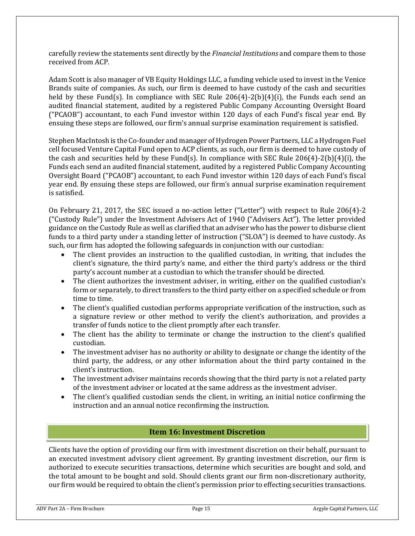carefully review the statements sent directly by the *Financial Institutions* and compare them to those received from ACP.

Adam Scott is also manager of VB Equity Holdings LLC, a funding vehicle used to invest in the Venice Brands suite of companies. As such, our firm is deemed to have custody of the cash and securities held by these Fund(s). In compliance with SEC Rule 206(4)-2(b)(4)(i), the Funds each send an audited financial statement, audited by a registered Public Company Accounting Oversight Board ("PCAOB") accountant, to each Fund investor within 120 days of each Fund's fiscal year end. By ensuing these steps are followed, our firm's annual surprise examination requirement is satisfied.

Stephen MacIntosh is the Co-founder and manager of Hydrogen Power Partners, LLC a Hydrogen Fuel cell focused Venture Capital Fund open to ACP clients, as such, our firm is deemed to have custody of the cash and securities held by these Fund(s). In compliance with SEC Rule 206(4)-2(b)(4)(i), the Funds each send an audited financial statement, audited by a registered Public Company Accounting Oversight Board ("PCAOB") accountant, to each Fund investor within 120 days of each Fund's fiscal year end. By ensuing these steps are followed, our firm's annual surprise examination requirement is satisfied.

On February 21, 2017, the SEC issued a no‐action letter ("Letter") with respect to Rule 206(4)‐2 ("Custody Rule") under the Investment Advisers Act of 1940 ("Advisers Act"). The letter provided guidance on the Custody Rule as well as clarified that an adviser who has the power to disburse client funds to a third party under a standing letter of instruction ("SLOA") is deemed to have custody. As such, our firm has adopted the following safeguards in conjunction with our custodian:

- The client provides an instruction to the qualified custodian, in writing, that includes the client's signature, the third party's name, and either the third party's address or the third party's account number at a custodian to which the transfer should be directed.
- The client authorizes the investment adviser, in writing, either on the qualified custodian's form or separately, to direct transfers to the third party either on a specified schedule or from time to time.
- The client's qualified custodian performs appropriate verification of the instruction, such as a signature review or other method to verify the client's authorization, and provides a transfer of funds notice to the client promptly after each transfer.
- The client has the ability to terminate or change the instruction to the client's qualified custodian.
- The investment adviser has no authority or ability to designate or change the identity of the third party, the address, or any other information about the third party contained in the client's instruction.
- The investment adviser maintains records showing that the third party is not a related party of the investment adviser or located at the same address as the investment adviser.
- The client's qualified custodian sends the client, in writing, an initial notice confirming the instruction and an annual notice reconfirming the instruction.

# **Item 16: Investment Discretion**

<span id="page-14-0"></span>Clients have the option of providing our firm with investment discretion on their behalf, pursuant to an executed investment advisory client agreement. By granting investment discretion, our firm is authorized to execute securities transactions, determine which securities are bought and sold, and the total amount to be bought and sold. Should clients grant our firm non-discretionary authority, our firm would be required to obtain the client's permission prior to effecting securities transactions.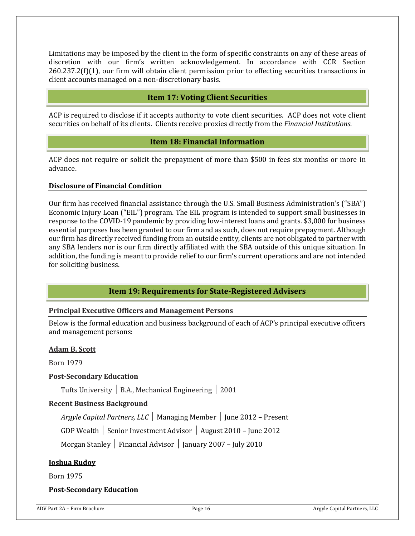Limitations may be imposed by the client in the form of specific constraints on any of these areas of discretion with our firm's written acknowledgement. In accordance with CCR Section 260.237.2(f)(1), our firm will obtain client permission prior to effecting securities transactions in client accounts managed on a non-discretionary basis.

## **Item 17: Voting Client Securities**

<span id="page-15-0"></span>ACP is required to disclose if it accepts authority to vote client securities. ACP does not vote client securities on behalf of its clients. Clients receive proxies directly from the *Financial Institutions*.

### **Item 18: Financial Information**

<span id="page-15-1"></span>ACP does not require or solicit the prepayment of more than \$500 in fees six months or more in advance.

### **Disclosure of Financial Condition**

Our firm has received financial assistance through the U.S. Small Business Administration's ("SBA") Economic Injury Loan ("EIL") program. The EIL program is intended to support small businesses in response to the COVID-19 pandemic by providing low-interest loans and grants. \$3,000 for business essential purposes has been granted to our firm and as such, does not require prepayment. Although our firm has directly received funding from an outside entity, clients are not obligated to partner with any SBA lenders nor is our firm directly affiliated with the SBA outside of this unique situation. In addition, the funding is meant to provide relief to our firm's current operations and are not intended for soliciting business.

## **Item 19: Requirements for State-Registered Advisers**

### <span id="page-15-2"></span>**Principal Executive Officers and Management Persons**

Below is the formal education and business background of each of ACP's principal executive officers and management persons:

#### **Adam B. Scott**

Born 1979

#### **Post-Secondary Education**

Tufts University │ B.A., Mechanical Engineering │ 2001

### **Recent Business Background**

*Argyle Capital Partners, LLC* │ Managing Member │ June 2012 – Present

GDP Wealth │ Senior Investment Advisor │ August 2010 – June 2012

Morgan Stanley │ Financial Advisor │ January 2007 – July 2010

### **Joshua Rudoy**

Born 1975

### **Post-Secondary Education**